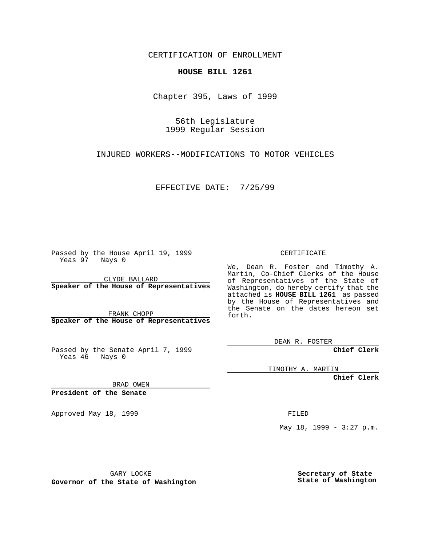CERTIFICATION OF ENROLLMENT

## **HOUSE BILL 1261**

Chapter 395, Laws of 1999

56th Legislature 1999 Regular Session

INJURED WORKERS--MODIFICATIONS TO MOTOR VEHICLES

EFFECTIVE DATE: 7/25/99

Passed by the House April 19, 1999 Yeas 97 Nays 0

CLYDE BALLARD **Speaker of the House of Representatives**

FRANK CHOPP **Speaker of the House of Representatives**

Passed by the Senate April 7, 1999 Yeas 46 Nays 0

CERTIFICATE

We, Dean R. Foster and Timothy A. Martin, Co-Chief Clerks of the House of Representatives of the State of Washington, do hereby certify that the attached is **HOUSE BILL 1261** as passed by the House of Representatives and the Senate on the dates hereon set forth.

DEAN R. FOSTER

**Chief Clerk**

TIMOTHY A. MARTIN

**Chief Clerk**

BRAD OWEN

**President of the Senate**

Approved May 18, 1999 **FILED** 

May 18, 1999 - 3:27 p.m.

GARY LOCKE

**Governor of the State of Washington**

**Secretary of State State of Washington**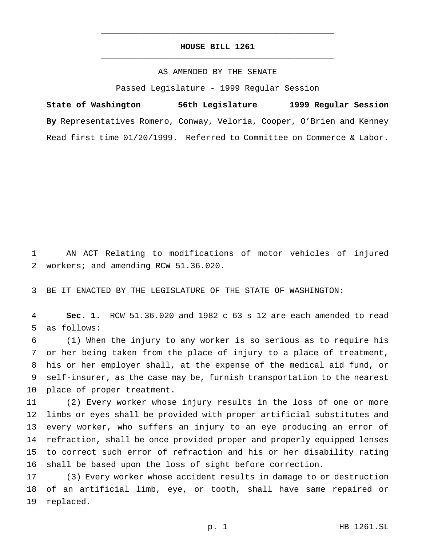## **HOUSE BILL 1261** \_\_\_\_\_\_\_\_\_\_\_\_\_\_\_\_\_\_\_\_\_\_\_\_\_\_\_\_\_\_\_\_\_\_\_\_\_\_\_\_\_\_\_\_\_\_\_

\_\_\_\_\_\_\_\_\_\_\_\_\_\_\_\_\_\_\_\_\_\_\_\_\_\_\_\_\_\_\_\_\_\_\_\_\_\_\_\_\_\_\_\_\_\_\_

## AS AMENDED BY THE SENATE

Passed Legislature - 1999 Regular Session

**State of Washington 56th Legislature 1999 Regular Session By** Representatives Romero, Conway, Veloria, Cooper, O'Brien and Kenney Read first time 01/20/1999. Referred to Committee on Commerce & Labor.

 AN ACT Relating to modifications of motor vehicles of injured workers; and amending RCW 51.36.020.

BE IT ENACTED BY THE LEGISLATURE OF THE STATE OF WASHINGTON:

 **Sec. 1.** RCW 51.36.020 and 1982 c 63 s 12 are each amended to read as follows:

 (1) When the injury to any worker is so serious as to require his or her being taken from the place of injury to a place of treatment, his or her employer shall, at the expense of the medical aid fund, or self-insurer, as the case may be, furnish transportation to the nearest place of proper treatment.

 (2) Every worker whose injury results in the loss of one or more limbs or eyes shall be provided with proper artificial substitutes and every worker, who suffers an injury to an eye producing an error of refraction, shall be once provided proper and properly equipped lenses to correct such error of refraction and his or her disability rating shall be based upon the loss of sight before correction.

 (3) Every worker whose accident results in damage to or destruction of an artificial limb, eye, or tooth, shall have same repaired or replaced.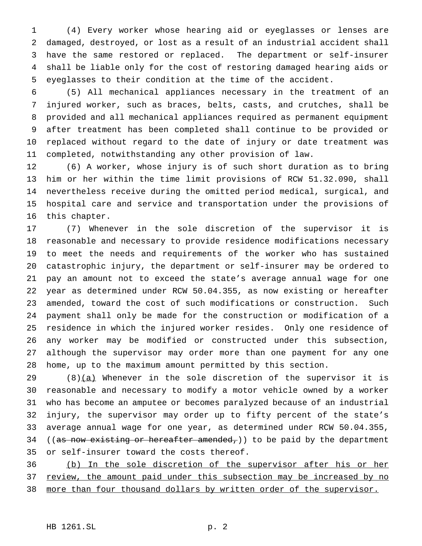(4) Every worker whose hearing aid or eyeglasses or lenses are damaged, destroyed, or lost as a result of an industrial accident shall have the same restored or replaced. The department or self-insurer shall be liable only for the cost of restoring damaged hearing aids or eyeglasses to their condition at the time of the accident.

 (5) All mechanical appliances necessary in the treatment of an injured worker, such as braces, belts, casts, and crutches, shall be provided and all mechanical appliances required as permanent equipment after treatment has been completed shall continue to be provided or replaced without regard to the date of injury or date treatment was completed, notwithstanding any other provision of law.

 (6) A worker, whose injury is of such short duration as to bring him or her within the time limit provisions of RCW 51.32.090, shall nevertheless receive during the omitted period medical, surgical, and hospital care and service and transportation under the provisions of this chapter.

 (7) Whenever in the sole discretion of the supervisor it is reasonable and necessary to provide residence modifications necessary to meet the needs and requirements of the worker who has sustained catastrophic injury, the department or self-insurer may be ordered to pay an amount not to exceed the state's average annual wage for one year as determined under RCW 50.04.355, as now existing or hereafter amended, toward the cost of such modifications or construction. Such payment shall only be made for the construction or modification of a residence in which the injured worker resides. Only one residence of any worker may be modified or constructed under this subsection, although the supervisor may order more than one payment for any one home, up to the maximum amount permitted by this section.

 $(8)(a)$  Whenever in the sole discretion of the supervisor it is reasonable and necessary to modify a motor vehicle owned by a worker who has become an amputee or becomes paralyzed because of an industrial injury, the supervisor may order up to fifty percent of the state's average annual wage for one year, as determined under RCW 50.04.355, 34 ((as now existing or hereafter amended,)) to be paid by the department or self-insurer toward the costs thereof.

 (b) In the sole discretion of the supervisor after his or her 37 review, the amount paid under this subsection may be increased by no 38 more than four thousand dollars by written order of the supervisor.